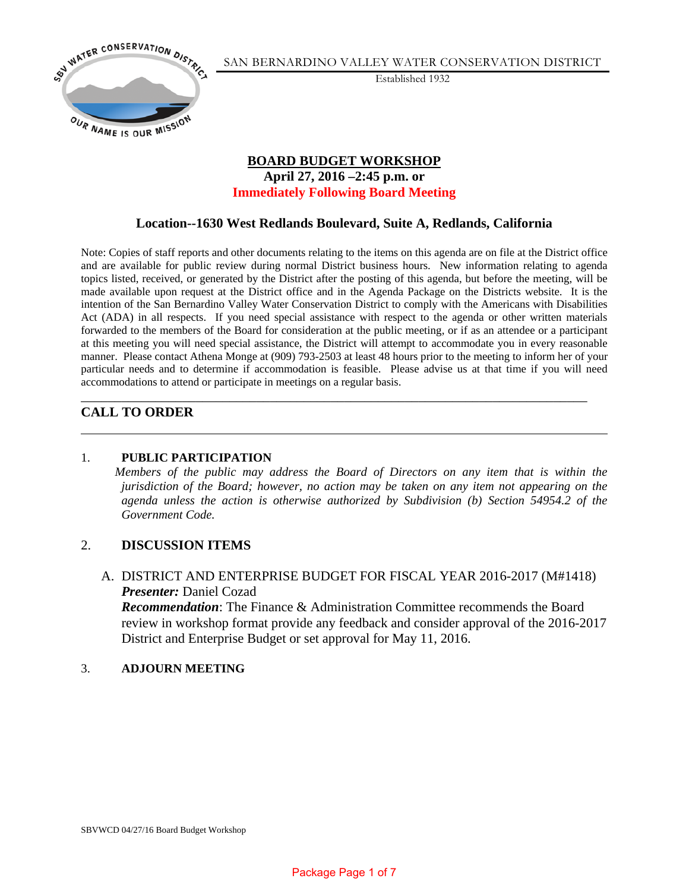

SAN BERNARDINO VALLEY WATER CONSERVATION DISTRICT

Established 1932

# **BOARD BUDGET WORKSHOP April 27, 2016 –2:45 p.m. or Immediately Following Board Meeting**

# **Location--1630 West Redlands Boulevard, Suite A, Redlands, California**

Note: Copies of staff reports and other documents relating to the items on this agenda are on file at the District office and are available for public review during normal District business hours. New information relating to agenda topics listed, received, or generated by the District after the posting of this agenda, but before the meeting, will be made available upon request at the District office and in the Agenda Package on the Districts website. It is the intention of the San Bernardino Valley Water Conservation District to comply with the Americans with Disabilities Act (ADA) in all respects. If you need special assistance with respect to the agenda or other written materials forwarded to the members of the Board for consideration at the public meeting, or if as an attendee or a participant at this meeting you will need special assistance, the District will attempt to accommodate you in every reasonable manner. Please contact Athena Monge at (909) 793-2503 at least 48 hours prior to the meeting to inform her of your particular needs and to determine if accommodation is feasible. Please advise us at that time if you will need accommodations to attend or participate in meetings on a regular basis.

\_\_\_\_\_\_\_\_\_\_\_\_\_\_\_\_\_\_\_\_\_\_\_\_\_\_\_\_\_\_\_\_\_\_\_\_\_\_\_\_\_\_\_\_\_\_\_\_\_\_\_\_\_\_\_\_\_\_\_\_\_\_\_\_\_\_\_\_\_\_\_\_\_\_\_

# **CALL TO ORDER**

### 1. **PUBLIC PARTICIPATION**

 *Members of the public may address the Board of Directors on any item that is within the jurisdiction of the Board; however, no action may be taken on any item not appearing on the agenda unless the action is otherwise authorized by Subdivision (b) Section 54954.2 of the Government Code.* 

### 2. **DISCUSSION ITEMS**

A. DISTRICT AND ENTERPRISE BUDGET FOR FISCAL YEAR 2016-2017 (M#1418) *Presenter:* Daniel Cozad

*Recommendation*: The Finance & Administration Committee recommends the Board review in workshop format provide any feedback and consider approval of the 2016-2017 District and Enterprise Budget or set approval for May 11, 2016.

#### 3. **ADJOURN MEETING**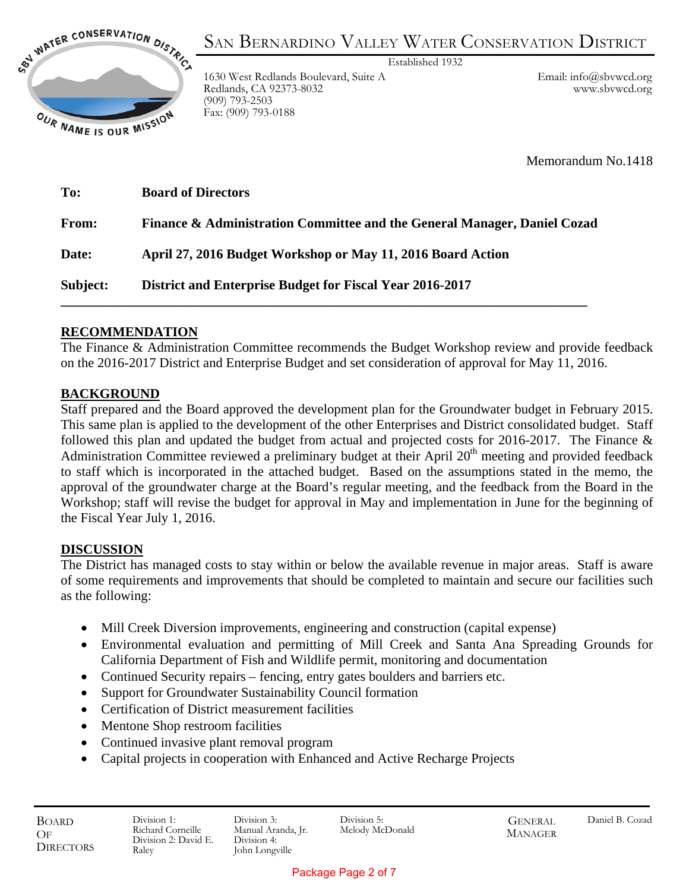

SAN BERNARDINO VALLEY WATER CONSERVATION DISTRICT Established 1932

1630 West Redlands Boulevard, Suite A Redlands, CA 92373-8032 (909) 793-2503 Fax: (909) 793-0188

Email: info@sbvwcd.org www.sbvwcd.org

Memorandum No.1418

| To:          | <b>Board of Directors</b>                                                           |
|--------------|-------------------------------------------------------------------------------------|
| <b>From:</b> | <b>Finance &amp; Administration Committee and the General Manager, Daniel Cozad</b> |
| Date:        | April 27, 2016 Budget Workshop or May 11, 2016 Board Action                         |
| Subject:     | District and Enterprise Budget for Fiscal Year 2016-2017                            |

# **RECOMMENDATION**

The Finance & Administration Committee recommends the Budget Workshop review and provide feedback on the 2016-2017 District and Enterprise Budget and set consideration of approval for May 11, 2016.

# **BACKGROUND**

Staff prepared and the Board approved the development plan for the Groundwater budget in February 2015. This same plan is applied to the development of the other Enterprises and District consolidated budget. Staff followed this plan and updated the budget from actual and projected costs for 2016-2017. The Finance & Administration Committee reviewed a preliminary budget at their April  $20<sup>th</sup>$  meeting and provided feedback to staff which is incorporated in the attached budget. Based on the assumptions stated in the memo, the approval of the groundwater charge at the Board's regular meeting, and the feedback from the Board in the Workshop; staff will revise the budget for approval in May and implementation in June for the beginning of the Fiscal Year July 1, 2016.

### **DISCUSSION**

The District has managed costs to stay within or below the available revenue in major areas. Staff is aware of some requirements and improvements that should be completed to maintain and secure our facilities such as the following:

- Mill Creek Diversion improvements, engineering and construction (capital expense)
- Environmental evaluation and permitting of Mill Creek and Santa Ana Spreading Grounds for California Department of Fish and Wildlife permit, monitoring and documentation
- Continued Security repairs fencing, entry gates boulders and barriers etc.
- Support for Groundwater Sustainability Council formation
- Certification of District measurement facilities
- Mentone Shop restroom facilities
- Continued invasive plant removal program
- Capital projects in cooperation with Enhanced and Active Recharge Projects

Division 5: Melody McDonald **GENERAL** MANAGER

### Package Page 2 of 7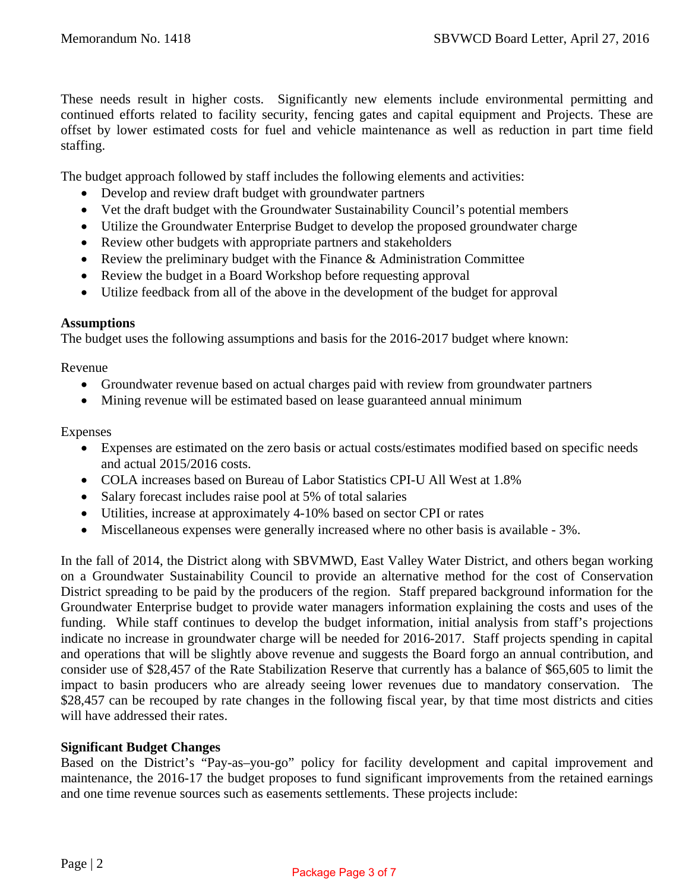These needs result in higher costs. Significantly new elements include environmental permitting and continued efforts related to facility security, fencing gates and capital equipment and Projects. These are offset by lower estimated costs for fuel and vehicle maintenance as well as reduction in part time field staffing.

The budget approach followed by staff includes the following elements and activities:

- Develop and review draft budget with groundwater partners
- Vet the draft budget with the Groundwater Sustainability Council's potential members
- Utilize the Groundwater Enterprise Budget to develop the proposed groundwater charge
- Review other budgets with appropriate partners and stakeholders
- Review the preliminary budget with the Finance & Administration Committee
- Review the budget in a Board Workshop before requesting approval
- Utilize feedback from all of the above in the development of the budget for approval

### **Assumptions**

The budget uses the following assumptions and basis for the 2016-2017 budget where known:

Revenue

- Groundwater revenue based on actual charges paid with review from groundwater partners
- Mining revenue will be estimated based on lease guaranteed annual minimum

### Expenses

- Expenses are estimated on the zero basis or actual costs/estimates modified based on specific needs and actual 2015/2016 costs.
- COLA increases based on Bureau of Labor Statistics CPI-U All West at 1.8%
- Salary forecast includes raise pool at 5% of total salaries
- Utilities, increase at approximately 4-10% based on sector CPI or rates
- Miscellaneous expenses were generally increased where no other basis is available 3%.

In the fall of 2014, the District along with SBVMWD, East Valley Water District, and others began working on a Groundwater Sustainability Council to provide an alternative method for the cost of Conservation District spreading to be paid by the producers of the region. Staff prepared background information for the Groundwater Enterprise budget to provide water managers information explaining the costs and uses of the funding. While staff continues to develop the budget information, initial analysis from staff's projections indicate no increase in groundwater charge will be needed for 2016-2017. Staff projects spending in capital and operations that will be slightly above revenue and suggests the Board forgo an annual contribution, and consider use of \$28,457 of the Rate Stabilization Reserve that currently has a balance of \$65,605 to limit the impact to basin producers who are already seeing lower revenues due to mandatory conservation. The \$28,457 can be recouped by rate changes in the following fiscal year, by that time most districts and cities will have addressed their rates.

### **Significant Budget Changes**

Based on the District's "Pay-as–you-go" policy for facility development and capital improvement and maintenance, the 2016-17 the budget proposes to fund significant improvements from the retained earnings and one time revenue sources such as easements settlements. These projects include:

### Package Page 3 of 7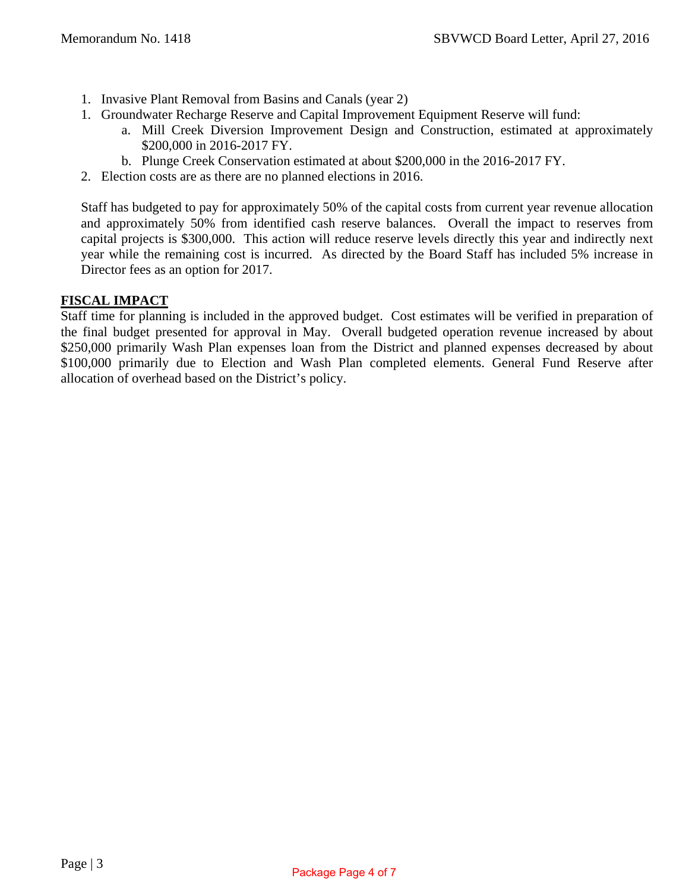- 1. Invasive Plant Removal from Basins and Canals (year 2)
- 1. Groundwater Recharge Reserve and Capital Improvement Equipment Reserve will fund:
	- a. Mill Creek Diversion Improvement Design and Construction, estimated at approximately \$200,000 in 2016-2017 FY.
	- b. Plunge Creek Conservation estimated at about \$200,000 in the 2016-2017 FY.
- 2. Election costs are as there are no planned elections in 2016.

Staff has budgeted to pay for approximately 50% of the capital costs from current year revenue allocation and approximately 50% from identified cash reserve balances. Overall the impact to reserves from capital projects is \$300,000. This action will reduce reserve levels directly this year and indirectly next year while the remaining cost is incurred. As directed by the Board Staff has included 5% increase in Director fees as an option for 2017.

### **FISCAL IMPACT**

Staff time for planning is included in the approved budget. Cost estimates will be verified in preparation of the final budget presented for approval in May. Overall budgeted operation revenue increased by about \$250,000 primarily Wash Plan expenses loan from the District and planned expenses decreased by about \$100,000 primarily due to Election and Wash Plan completed elements. General Fund Reserve after allocation of overhead based on the District's policy.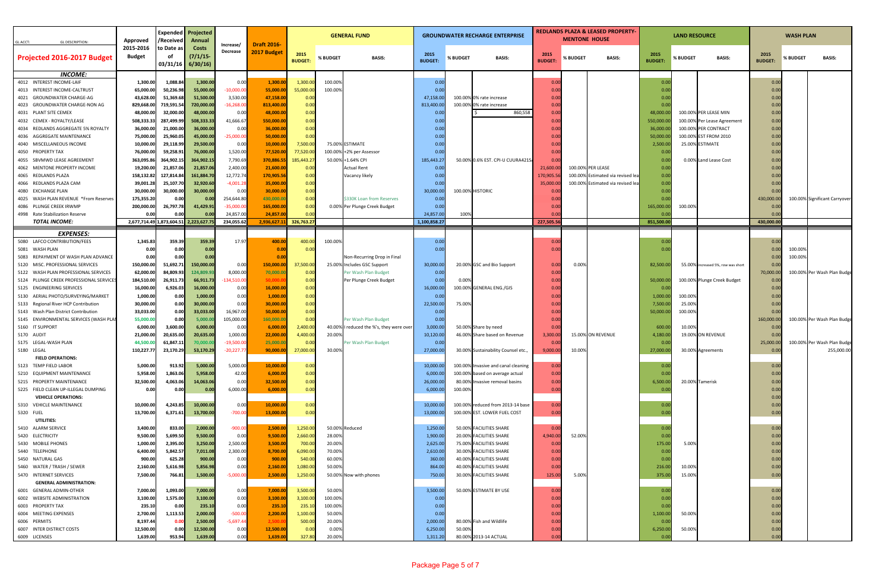| <b>GL DESCRIPTION:</b><br><b>GLACCT:</b>                         | Approved                                      | Expended<br>/Receivec  | Projected<br>Annual    |                          |                                  | <b>GENERAL FUND</b>    |                  |                                                                  | <b>GROUNDWATER RECHARGE ENTERPRISE</b> |          |                                                    |                       | <b>MENTONE HOUSE</b> | REDLANDS PLAZA & LEASED PROPERTY  |                       | <b>LAND RESOURCE</b> |                                               | <b>WASH PLAN</b>       |          |                               |  |
|------------------------------------------------------------------|-----------------------------------------------|------------------------|------------------------|--------------------------|----------------------------------|------------------------|------------------|------------------------------------------------------------------|----------------------------------------|----------|----------------------------------------------------|-----------------------|----------------------|-----------------------------------|-----------------------|----------------------|-----------------------------------------------|------------------------|----------|-------------------------------|--|
| Projected 2016-2017 Budget                                       | 2015-2016<br><b>Budget</b>                    | to Date as             | Costs<br>(7/1/15)      | Increase/<br>Decrease    | <b>Draft 2016</b><br>2017 Budget | 2015<br><b>BUDGET:</b> | % BUDGET         | <b>BASIS:</b>                                                    | 2015<br><b>BUDGET</b>                  | % BUDGET | <b>BASIS:</b>                                      | 2015<br><b>BUDGET</b> | % BUDGET             | <b>BASIS:</b>                     | 2015<br><b>BUDGET</b> | <b>% BUDGET</b>      | <b>BASIS:</b>                                 | 2015<br><b>BUDGET:</b> | % BUDGET | <b>BASIS:</b>                 |  |
| <b>INCOME:</b>                                                   |                                               | 03/31/16               | 6/30/16                |                          |                                  |                        |                  |                                                                  |                                        |          |                                                    |                       |                      |                                   |                       |                      |                                               |                        |          |                               |  |
| 4012 INTEREST INCOME-LAIF                                        | 1,300.00                                      | 1,088.84               | 1,300.00               | 0.00                     | 1,300.0                          | 1,300.0                | 100.009          |                                                                  | 0.00                                   |          |                                                    | 0.0                   |                      |                                   | 0.00                  |                      |                                               | 0.00                   |          |                               |  |
| 4013 INTEREST INCOME-CALTRUST                                    | 65,000.00                                     | 50,236.98              | 55,000.00              | $-10,000.00$             | 55,000.00                        | 55,000.00              | 100.00%          |                                                                  | 0.00                                   |          |                                                    | 0.0                   |                      |                                   | 0.00                  |                      |                                               | 0.00                   |          |                               |  |
| 4021 GROUNDWATER CHARGE-AG                                       | 43,628.00                                     | 51,369.68              | 51,500.00              | 3,530.00                 | 47,158.0                         | 0.00                   |                  |                                                                  | 47,158.0                               |          | 100.00% 0% rate increase                           | 0.0                   |                      |                                   | 0.00                  |                      |                                               | 0.00                   |          |                               |  |
| 4023 GROUNDWATER CHARGE-NON AG                                   | 829,668.00                                    | 719,591.5              | 720,000.00             | $-16,268.00$             | 813,400.0                        | 0.00                   |                  |                                                                  | 813,400.00                             |          | 100.00% 0% rate increase                           | 0.0                   |                      |                                   | 0.00                  |                      |                                               | 0.00                   |          |                               |  |
| 4031 PLANT SITE CEMEX                                            | 48,000.00                                     | 32,000.00              | 48,000.00              | 0.00                     | 48,000.00                        | 0.00                   |                  |                                                                  | 0.0                                    |          | 860,558                                            | 0.0                   |                      |                                   | 48,000.0              |                      | 100.00% PER LEASE MIN                         | 0.00                   |          |                               |  |
| 4032 CEMEX - ROYALTY/LEASE                                       | 508,333.33                                    | 287,499.9              | 508,333.33             | 41,666.67                | 550,000.0                        | 0.00                   |                  |                                                                  | 0.0                                    |          |                                                    | 0.0                   |                      |                                   | 550,000.0             |                      | 100.00% Per Lease Agreement                   | 0.00                   |          |                               |  |
| 4034 REDLANDS AGGREGATE 5% ROYALTY<br>4036 AGGREGATE MAINTENANCE | 36,000.00                                     | 21,000.00              | 36,000.00<br>45,000.00 | 0.00<br>$-25,000.0$      | 36,000.00<br>50,000.00           | 0.00<br>0.00           |                  |                                                                  | 0.00<br>0.0                            |          |                                                    | 0.0<br>0.0            |                      |                                   | 36,000.0<br>50,000.0  |                      | 100.00% PER CONTRACT<br>100.00% EST FROM 2010 | 0.00                   |          |                               |  |
| 4040 MISCELLANEOUS INCOME                                        | 75,000.00<br>10,000.00                        | 25,960.05<br>29,118.99 | 29,500.00              | 0.00                     | 10,000.00                        | 7,500.00               |                  | 75.00% ESTIMATE                                                  | 0.00                                   |          |                                                    | 0.0                   |                      |                                   | 2,500.0               |                      | 25.00% ESTIMATE                               | 0.00<br>0.00           |          |                               |  |
| 4050 PROPERTY TAX                                                | 76,000.00                                     | 59,258.91              | 76,000.00              | 1,520.00                 | 77,520.00                        | 77,520.00              |                  | 100.00% +2% per Assessor                                         | 0.00                                   |          |                                                    | 0.0                   |                      |                                   | 0.00                  |                      |                                               | 0.00                   |          |                               |  |
| 4055 SBVMWD LEASE AGREEMENT                                      | 363,095.86                                    | 364,902.15             | 364,902.15             | 7,790.69                 | 370,886.5                        | 185,443.27             |                  | 50.00% +1.64% CPI                                                | 185,443.27                             |          | 50.00% 0.6% EST. CPI-U CUURA421S                   | 0.0                   |                      |                                   | 0.00                  |                      | 0.00% Land Lease Cost                         | 0.00                   |          |                               |  |
| 4062 MENTONE PROPERTY INCOME                                     | 19,200.00                                     | 21,857.06              | 21,857.0               | 2,400.00                 | 21,600.0                         | 0.00                   |                  | <b>Actual Rent</b>                                               | 0.00                                   |          |                                                    | 21,600.0              |                      | 100.00% PER LEASE                 | 0.00                  |                      |                                               | 0.00                   |          |                               |  |
| 4065 REDLANDS PLAZA                                              | 158,132.82                                    | 127,814.8              | 161,884.70             | 12,772.7                 | 170,905.5                        | 0.00                   |                  | Vacancy likely                                                   | 0.00                                   |          |                                                    | 170,905.              | 100.00%              | Estimated via revised lea         | 0.00                  |                      |                                               | 0.00                   |          |                               |  |
| 4066 REDLANDS PLAZA CAM                                          | 39,001.2                                      | 25,107.70              | 32,920.60              | $-4,001.28$              | 35,000.00                        | 0.00                   |                  |                                                                  | 0.00                                   |          |                                                    | 35,000.               |                      | 100.00% Estimated via revised lea | 0.00                  |                      |                                               | 0.00                   |          |                               |  |
| 4080 EXCHANGE PLAN                                               | 30,000.00                                     | 30,000.00              | 30,000.00              | 0.00                     | 30,000.0                         | 0.00                   |                  |                                                                  | 30,000.00                              |          | 100.00% HISTORIC                                   | 0.0                   |                      |                                   | 0.00                  |                      |                                               | 0.00                   |          |                               |  |
| 4025 WASH PLAN REVENUE *From Reserves                            | 175,355.20                                    | 0.00                   | 0.00                   | 254,644.80               | 430,000.0                        | 0.00                   |                  | \$330K Loan from Reserves                                        | 0.00                                   |          |                                                    | 0.0                   |                      |                                   | 0.00                  |                      |                                               | 430,000.00             |          | 100.00% Significant Carryover |  |
| 4086 PLUNGE CREEK IRWMP<br>4998 Rate Stabilization Reserve       | 200,000.00                                    | 26,797.78<br>0.00      | 41,429.9<br>0.00       | $-35,000.0$<br>24,857.00 | 165,000.0<br>24,857.0            | 0.00<br>0.00           |                  | 0.00% Per Plunge Creek Budget                                    | 0.00<br>24,857.00                      |          |                                                    | 0.0<br>0.0            |                      |                                   | 165,000.0             | 100.00%              |                                               | 0.0                    |          |                               |  |
| <b>TOTAL INCOME:</b>                                             | 0.00<br>2,677,714.49 1,873,604.51 2,223,627.7 |                        |                        | 234,055.62               | 2,936,627.1                      | 326,763.27             |                  |                                                                  | 1,100,858.27                           | 100%     |                                                    | 227,505.5             |                      |                                   | 0.01<br>851,500.0     |                      |                                               | 0.00<br>430,000.0      |          |                               |  |
|                                                                  |                                               |                        |                        |                          |                                  |                        |                  |                                                                  |                                        |          |                                                    |                       |                      |                                   |                       |                      |                                               |                        |          |                               |  |
| <b>EXPENSES:</b>                                                 |                                               |                        |                        |                          |                                  |                        |                  |                                                                  |                                        |          |                                                    |                       |                      |                                   |                       |                      |                                               |                        |          |                               |  |
| 5080 LAFCO CONTRIBUTION/FEES<br>5081 WASH PLAN                   | 1,345.83<br>0.00                              | 359.39<br>0.00         | 359.39<br>0.00         | 17.97                    | 400.0<br>0.00                    | 400.00<br>0.00         | 100.00%          |                                                                  | 0.00<br>0.00                           |          |                                                    | 0.0<br>0.0            |                      |                                   | 0.00<br>0.00          |                      |                                               | 0.00<br>0.00           | 100.009  |                               |  |
| 5083 REPAYMENT OF WASH PLAN ADVANCE                              | 0.00                                          | 0.00                   | 0.00                   |                          | 0.00                             |                        |                  | Non-Recurring Drop in Final                                      |                                        |          |                                                    |                       |                      |                                   |                       |                      |                                               | 0.00                   | 100.00%  |                               |  |
| 5120 MISC. PROFESSIONAL SERVICES                                 | 150,000.00                                    | 51,692.71              | 150,000.00             | 0.00                     | 150,000.00                       | 37,500.00              |                  | 25.00% Includes GSC Support                                      | 30,000.00                              |          | 20.00% GSC and Bio Support                         | 0.0                   | 0.00%                |                                   | 82,500.00             |                      | 55.00% increased 5%, row was short            | 0.00                   |          |                               |  |
| 5122 WASH PLAN PROFESSIONAL SERVICES                             | 62,000.00                                     | 84,809.93              | 124,809.93             | 8,000.00                 | 70,000.0                         | 0.00                   |                  | Per Wash Plan Budget                                             | 0.00                                   |          |                                                    | 0.0                   |                      |                                   |                       |                      |                                               | 70,000.00              |          | 100.00% Per Wash Plan Budge   |  |
| 5124 PLUNGE CREEK PROFESSIONAL SERVICES                          | 184,510.00                                    | 26,911.73              | 66,911.7               | 134,510.00               | 50.000.                          | 0.00                   |                  | Per Plunge Creek Budget                                          | 0.00                                   | 0.00%    |                                                    | 0.0                   |                      |                                   | 50,000.0              |                      | 100.00% Plunge Creek Budget                   | 0.00                   |          |                               |  |
| 5125 ENGINEERING SERVICES                                        | 16,000.00                                     | 6,926.03               | 16,000.00              | 0.00                     | 16,000.00                        | 0.00                   |                  |                                                                  | 16,000.00                              |          | 100.00% GENERAL ENG./GIS                           | 0.0                   |                      |                                   | 0.0                   |                      |                                               | 0.00                   |          |                               |  |
| 5130 AERIAL PHOTO/SURVEYING/MARKET                               | 1,000.00                                      | 0.00                   | 1,000.00               | 0.00                     | 1,000.00                         | 0.00                   |                  |                                                                  | 0.00                                   |          |                                                    | 0.0                   |                      |                                   | 1,000.0               | 100.00%              |                                               | 0.00                   |          |                               |  |
| 5133 Regional River HCP Contribution                             | 30,000.00                                     | 0.00                   | 30,000.00              | 0.00                     | 30,000.00                        | 0.00                   |                  |                                                                  | 22,500.00                              | 75.00%   |                                                    | 0.0                   |                      |                                   | 7,500.00              | 25.00%               |                                               | 0.00                   |          |                               |  |
| 5143 Wash Plan District Contribution                             | 33,033.00<br>55,000.00                        | 0.00<br>0.00           | 33,033.00              | 16,967.00                | 50,000.00<br>160,000.0           | 0.00<br>0.00           |                  |                                                                  | 0.00<br>0.00                           |          |                                                    | 0.0<br>0.0            |                      |                                   | 50,000.0              | 100.00%              |                                               | 0.0<br>160,000.00      |          | 100.00% Per Wash Plan Budge   |  |
| 5145 ENVIRONMENTAL SERVICES (WASH PLAI<br>5160 IT SUPPORT        | 6,000.00                                      | 3,600.00               | 5,000.0<br>6,000.00    | 105,000.00<br>0.00       | 6,000.00                         | 2,400.00               |                  | Per Wash Plan Budget<br>40.00% I reduced the %'s, they were over | 3,000.00                               |          | 50.00% Share by need                               | 0.0                   |                      |                                   | 600.0                 | 10.00%               |                                               | 0.00                   |          |                               |  |
| 5170 AUDIT                                                       | 21,000.00                                     | 20,635.00              | 20,635.00              | 1,000.00                 | 22,000.00                        | 4,400.00               | 20.009           |                                                                  | 10,120.00                              |          | 46.00% Share based on Revenue                      | 3,300.0               |                      | 15.00% ON REVENUE                 | 4,180.00              |                      | 19.00% ON REVENUE                             | 0.00                   |          |                               |  |
| 5175 LEGAL-WASH PLAN                                             | 44,500.0                                      | 61,847.1               | 70,000.0               | $-19,500.00$             | 25,000.0                         | 0.00                   |                  | Per Wash Plan Budget                                             | 0.00                                   |          |                                                    | 0.0                   |                      |                                   | 0.00                  |                      |                                               | 25,000.00              |          | 100.00% Per Wash Plan Budge   |  |
| 5180 LEGAL                                                       | 110,227.77                                    | 23.170.29              | 53.170.29              | $-20.227.7$              | 90,000.00                        | 27,000.00              | 30.00%           |                                                                  | 27.000.00                              |          | 30.00% Sustainability Counsel etc.                 | 9.000.00              | 10.00%               |                                   | 27.000.00             |                      | 30.00% Agreements                             | 0.00                   |          | 255,000.00                    |  |
| <b>FIELD OPERATIONS:</b>                                         |                                               |                        |                        |                          |                                  |                        |                  |                                                                  |                                        |          |                                                    |                       |                      |                                   |                       |                      |                                               |                        |          |                               |  |
| 5123 TEMP FIELD LABOR                                            | 5,000.00                                      | 913.92                 | 5,000.00               | 5,000.00                 | 10,000.00                        | 0.00                   |                  |                                                                  | 10,000.00                              |          | 100.00% Invasive and canal cleaning                | 0.00                  |                      |                                   | 0.00                  |                      |                                               | 0.00                   |          |                               |  |
| 5210 EQUIPMENT MAINTENANCE                                       | 5,958.00                                      | 1,863.06               | 5,958.00               | 42.00                    | 6,000.00                         | 0.00                   |                  |                                                                  | 6,000.00                               |          | 100.00% based on average actual                    | 0.00                  |                      |                                   | 0.00                  |                      |                                               | 0.00                   |          |                               |  |
| 5215 PROPERTY MAINTENANCE<br>5225 FIELD CLEAN UP-ILLEGAL DUMPING | 32,500.00<br>0.00                             | 4,063.06<br>0.00       | 14,063.06              | 0.00<br>6,000.00         | 32,500.00<br>6,000.00            | 0.00<br>0.00           |                  |                                                                  | 26,000.00<br>6,000.00                  | 100.00%  | 80.00% Invasive removal basins                     | 0.00<br>0.0           |                      |                                   | 6,500.00              |                      | 20.00% Tamerisk                               | 0.00                   |          |                               |  |
| <b>VEHICLE OPERATIONS:</b>                                       |                                               |                        | 0.00                   |                          |                                  |                        |                  |                                                                  |                                        |          |                                                    |                       |                      |                                   | 0.00                  |                      |                                               | 0.00<br>0.00           |          |                               |  |
| 5310 VEHICLE MAINTENANCE                                         | 10,000.00                                     | 4,243.85               | 10,000.00              | 0.00                     | 10,000.00                        | 0.00                   |                  |                                                                  | 10,000.00                              |          | 100.00% reduced from 2013-14 base                  | 0.00                  |                      |                                   | 0.00                  |                      |                                               | 0.00                   |          |                               |  |
| 5320 FUEL                                                        | 13,700.00                                     | 6,371.61               | 13,700.00              | $-700.00$                | 13,000.00                        | 0.00                   |                  |                                                                  | 13,000.00                              |          | 100.00% EST. LOWER FUEL COST                       | 0.00                  |                      |                                   | 0.00                  |                      |                                               | 0.00                   |          |                               |  |
| UTILITIES:                                                       |                                               |                        |                        |                          |                                  |                        |                  |                                                                  |                                        |          |                                                    |                       |                      |                                   |                       |                      |                                               |                        |          |                               |  |
| 5410 ALARM SERVICE                                               | 3,400.00                                      | 833.00                 | 2,000.00               | $-900.00$                | 2,500.00                         | 1,250.00               |                  | 50.00% Reduced                                                   | 1,250.00                               |          | 50.00% FACILITIES SHARE                            | 0.0                   |                      |                                   | 0.00                  |                      |                                               | 0.00                   |          |                               |  |
| 5420 ELECTRICITY                                                 | 9,500.00                                      | 5,699.50               | 9,500.00               | 0.00                     | 9,500.00                         | 2,660.00               | 28.00%           |                                                                  | 1,900.00                               |          | 20.00% FACILITIES SHARE                            | 4,940.00              | 52.00%               |                                   | 0.00                  |                      |                                               | 0.00                   |          |                               |  |
| 5430 MOBILE PHONES                                               | 1,000.00                                      | 2,395.00               | 3,250.00               | 2,500.00                 | 3,500.00                         | 700.00                 | 20.00%           |                                                                  | 2,625.00                               |          | 75.00% FACILITIES SHARE                            | 0.0                   |                      |                                   | 175.00                | 5.00%                |                                               | 0.00                   |          |                               |  |
| 5440 TELEPHONE                                                   | 6,400.00                                      | 5,842.57               | 7,011.08               | 2,300.00                 | 8,700.00                         | 6,090.00               | 70.00%           |                                                                  | 2,610.00                               |          | 30.00% FACILITIES SHARE                            | 0.0                   |                      |                                   | 0.00                  |                      |                                               | 0.00                   |          |                               |  |
| 5450 NATURAL GAS<br>5460 WATER / TRASH / SEWER                   | 900.00<br>2,160.00                            | 625.28<br>5,616.98     | 900.00<br>5,856.98     | 0.00<br>0.00             | 900.00<br>2,160.00               | 540.00<br>1,080.00     | 60.00%<br>50.00% |                                                                  | 360.00<br>864.00                       |          | 40.00% FACILITIES SHARE<br>40.00% FACILITIES SHARE | 0.0<br>0.00           |                      |                                   | 0.00<br>216.00        | 10.00%               |                                               | 0.00<br>0.00           |          |                               |  |
| 5470 INTERNET SERVICES                                           | 7,500.00                                      | 766.81                 | 1,500.00               | $-5,000.00$              | 2,500.00                         | 1,250.00               |                  | 50.00% Now with phones                                           | 750.00                                 |          | 30.00% FACILITIES SHARE                            | 125.00                | 5.00%                |                                   | 375.00                | 15.00%               |                                               | 0.00                   |          |                               |  |
| <b>GENERAL ADMINISTRATION:</b>                                   |                                               |                        |                        |                          |                                  |                        |                  |                                                                  |                                        |          |                                                    |                       |                      |                                   |                       |                      |                                               |                        |          |                               |  |
| 6001 GENERAL ADMIN-OTHER                                         | 7,000.00                                      | 1,093.00               | 7,000.00               | 0.00                     | 7,000.00                         | 3,500.00               | 50.00%           |                                                                  | 3,500.00                               |          | 50.00% ESTIMATE BY USE                             | 0.00                  |                      |                                   | 0.00                  |                      |                                               | 0.00                   |          |                               |  |
| 6002 WEBSITE ADMINISTRATION                                      | 3,100.00                                      | 1,575.00               | 3,100.00               | 0.00                     | 3,100.00                         | 3,100.00               | 100.00%          |                                                                  | 0.00                                   |          |                                                    | 0.0                   |                      |                                   | 0.00                  |                      |                                               | 0.00                   |          |                               |  |
| 6003 PROPERTY TAX                                                | 235.10                                        | 0.00                   | 235.10                 | 0.00                     | 235.10                           | 235.10                 | 100.00%          |                                                                  | 0.00                                   |          |                                                    | 0.0                   |                      |                                   | 0.00                  |                      |                                               | 0.00                   |          |                               |  |
| 6004 MEETING EXPENSES                                            | 2,700.00                                      | 1,113.53               | 2,000.00               | $-500.00$                | 2,200.00                         | 1,100.00               | 50.00%           |                                                                  | 0.00                                   |          |                                                    | 0.00                  |                      |                                   | 1,100.00              | 50.00%               |                                               | 0.00                   |          |                               |  |
| 6006 PERMITS                                                     | 8,197.44                                      | 0.00                   | 2,500.00               | $-5,697.44$              | 2,500.0                          | 500.00                 | 20.00%           |                                                                  | 2,000.00                               |          | 80.00% Fish and Wildlife                           | 0.0                   |                      |                                   | 0.00                  |                      |                                               | 0.00                   |          |                               |  |
| 6007 INTER DISTRICT COSTS<br>6009 LICENSES                       | 12,500.00<br>1,639.00                         | 0.00<br>953.94         | 12,500.00<br>1,639.00  | 0.00<br>0.00             | 12,500.00<br>1,639.00            | 0.00<br>327.80         | 0.00%<br>20.00%  |                                                                  | 6,250.00<br>1,311.20                   | 50.00%   |                                                    | 0.0<br>0.00           |                      |                                   | 6,250.00<br>0.00      | 50.00%               |                                               | 0.00<br>0.00           |          |                               |  |
|                                                                  |                                               |                        |                        |                          |                                  |                        |                  |                                                                  |                                        |          | 80.00% 2013-14 ACTUAL                              |                       |                      |                                   |                       |                      |                                               |                        |          |                               |  |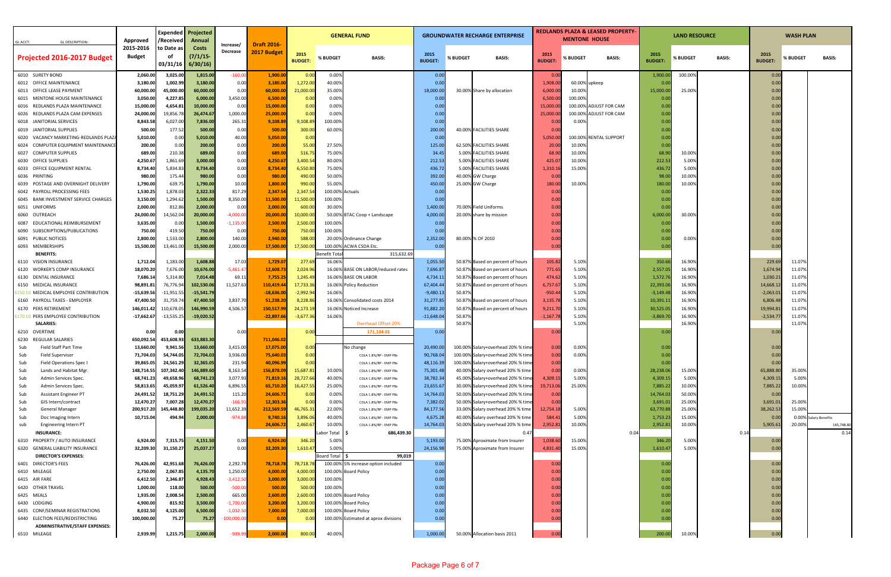|                                                                  |                            | <b>Expended</b>        | Projected              |                       |                        | <b>GENERAL FUND</b>   |                 |                                                            |                       | <b>GROUNDWATER RECHARGE ENTERPRISE</b> |                                                                        |                       | <b>REDLANDS PLAZA &amp; LEASED PROPERTY</b> |                        | <b>LAND RESOURCE</b> |                  | <b>WASH PLAN</b> |                    |                  |                       |
|------------------------------------------------------------------|----------------------------|------------------------|------------------------|-----------------------|------------------------|-----------------------|-----------------|------------------------------------------------------------|-----------------------|----------------------------------------|------------------------------------------------------------------------|-----------------------|---------------------------------------------|------------------------|----------------------|------------------|------------------|--------------------|------------------|-----------------------|
| GL ACCT:<br><b>GL DESCRIPTION:</b>                               | Approved                   | /Received              | <b>Annual</b>          | Increase/             | <b>Draft 2016-</b>     |                       |                 |                                                            |                       |                                        |                                                                        | <b>MENTONE HOUSE</b>  |                                             |                        |                      |                  |                  |                    |                  |                       |
|                                                                  | 2015-2016<br><b>Budget</b> | o Date as:<br>.ot      | Costs<br>(7/1/15       | Decrease              | 2017 Budget            | 2015                  |                 |                                                            | 2015                  |                                        |                                                                        | 2015                  |                                             |                        | 2015                 |                  |                  | 2015               |                  |                       |
| Projected 2016-2017 Budget                                       |                            | 03/31/16               | 6/30/16                |                       |                        | <b>BUDGET:</b>        | % BUDGET        | <b>BASIS:</b>                                              | <b>BUDGET:</b>        | % BUDGET                               | <b>BASIS:</b>                                                          | <b>BUDGET:</b>        | % BUDGET                                    | <b>BASIS:</b>          | <b>BUDGET</b>        | % BUDGET         | <b>BASIS:</b>    | <b>BUDGET</b>      | % BUDGET         | <b>BASIS:</b>         |
| 6010 SURETY BOND                                                 | 2,060.00                   | 3,025.00               | 1,815.00               | $-160.00$             | 1,900.00               | 0.00                  | 0.00%           |                                                            | 0.00                  |                                        |                                                                        | 0.00                  |                                             |                        | 1,900.               | 100.00%          |                  | 0.00               |                  |                       |
| 6012 OFFICE MAINTENANCE                                          | 3,180.00                   | 1,002.99               | 3,180.00               | 0.00                  | 3,180.00               | 1,272.00              | 40.00%          |                                                            | 0.00                  |                                        |                                                                        | 1,908.0               |                                             | 60.00% upkeep          | 0.0                  |                  |                  | 0.00               |                  |                       |
| 6013 OFFICE LEASE PAYMENT                                        | 60,000.00                  | 45,000.00              | 60,000.00              | 0.00                  | 60,000.00              | 21,000.00             | 35.00%          |                                                            | 18,000.00             |                                        | 30.00% Share by allocation                                             | 6,000.0               | 10.009                                      |                        | 15,000.0             | 25.009           |                  | 0.00               |                  |                       |
| 6015 MENTONE HOUSE MAINTENANCE                                   | 3,050.00                   | 4,227.85               | 6,000.00               | 3,450.00              | 6,500.00               | 0.00                  | 0.00%           |                                                            | 0.00                  |                                        |                                                                        | 6,500.0               | 100.00%                                     |                        | 0.0                  |                  |                  | 0.00               |                  |                       |
| 6016 REDLANDS PLAZA MAINTENANCE                                  | 15,000.00                  | 4,654.81               | 10,000.00              | 0.00                  | 15,000.00              | 0.00                  | 0.00%           |                                                            | 0.00                  |                                        |                                                                        | 15,000.0              |                                             | 100.00% ADJUST FOR CAM | 0.0                  |                  |                  | 0.00               |                  |                       |
| 6026 REDLANDS PLAZA CAM EXPENSES                                 | 24,000.00                  | 19,856.78              | 26,474.67              | 1,000.00              | 25,000.00              | 0.00                  | 0.00%           |                                                            | 0.00                  |                                        |                                                                        | 25,000.0              |                                             | 100.00% ADJUST FOR CAM | 0.00                 |                  |                  | 0.00               |                  |                       |
| 6018 JANITORIAL SERVICES                                         | 8,843.5                    | 6,027.00               | 7,836.00               | 265.31                | 9,108.89               | 9,108.89              | 100.00%         |                                                            | 0.00                  |                                        | 40.00% FACILITIES SHARE                                                | 0.0                   | 0.009                                       |                        | 0.0                  |                  |                  | 0.00               |                  |                       |
| 6019 JANITORIAL SUPPLIES<br>6020 VACANCY MARKETING-REDLANDS PLAZ | 500.00<br>5,010.00         | 177.52<br>0.00         | 500.00<br>5,010.00     | 0.00<br>40.00         | 500.00<br>5,050.00     | 300.00<br>0.00        | 60.00%          |                                                            | 200.00<br>0.00        |                                        |                                                                        | 0.0<br>5,050.0        |                                             | 100.00% RENTAL SUPPORT | 0.00<br>0.0          |                  |                  | 0.00<br>0.00       |                  |                       |
| 6024 COMPUTER EQUIPMENT MAINTENANC                               | 200.00                     | 0.00                   | 200.00                 | 0.00                  | 200.00                 | 55.00                 | 27.50%          |                                                            | 125.00                |                                        | 62.50% FACILITIES SHARE                                                | 20.00                 | 10.009                                      |                        | 0.0                  |                  |                  | 0.00               |                  |                       |
| 6027 COMPUTER SUPPLIES                                           | 689.00                     | 210.38                 | 689.00                 | 0.00                  | 689.00                 | 516.7                 | 75.00%          |                                                            | 34.4!                 |                                        | 5.00% FACILITIES SHARE                                                 | 68.9                  | 10.00%                                      |                        | 68.90                | 10.00%           |                  | 0.00               |                  |                       |
| 6030 OFFICE SUPPLIES                                             | 4,250.67                   | 1,861.69               | 3,000.00               | 0.00                  | 4,250.67               | 3,400.54              | 80.00%          |                                                            | 212.5                 |                                        | 5.00% FACILITIES SHARE                                                 | 425.0                 | 10.009                                      |                        | 212.5                | 5.00%            |                  | 0.00               |                  |                       |
| 6033 OFFICE EQUIPMENT RENTAL                                     | 8,734.40                   | 5,834.83               | 8,734.40               | 0.00                  | 8,734.40               | 6,550.80              | 75.00%          |                                                            | 436.7                 |                                        | 5.00% FACILITIES SHARE                                                 | 1,310.1               | 15.00%                                      |                        | 436.7                | 5.00%            |                  | 0.00               |                  |                       |
| 6036 PRINTING                                                    | 980.0                      | 175.44                 | 980.00                 | 0.00                  | 980.00                 | 490.0                 | 50.00%          |                                                            | 392.0                 |                                        | 40.00% GW Charge                                                       | 0.0                   |                                             |                        | 98.0                 | 10.009           |                  | 0.00               |                  |                       |
| 6039 POSTAGE AND OVERNIGHT DELIVERY                              | 1,790.00                   | 639.75                 | 1,790.00               | 10.00                 | 1,800.00               | 990.00                | 55.00%          |                                                            | 450.0                 |                                        | 25.00% GW Charge                                                       | 180.00                | 10.009                                      |                        | 180.0                | 10.00%           |                  | 0.00               |                  |                       |
| 6042 PAYROLL PROCESSING FEES                                     | 1,530.25                   | 1,878.03               | 2,322.33               | 817.29                | 2,347.54               | 2,347.54              | 100.00%         | Actuals                                                    | 0.00                  |                                        |                                                                        | 0.00                  |                                             |                        | 0.0                  |                  |                  | 0.00               |                  |                       |
| 6045 BANK INVESTMENT SERVICE CHARGES                             | 3,150.00                   | 1,294.62               | 1,500.00               | 8,350.00              | 11,500.00              | 11,500.00             | 100.00%         |                                                            | 0.00                  |                                        |                                                                        | 0.00                  |                                             |                        | 0.00                 |                  |                  | 0.00               |                  |                       |
| 6051 UNIFORMS                                                    | 2,000.00                   | 812.86                 | 2,000.00               | 0.00                  | 2,000.00               | 600.00                | 30.00%          |                                                            | 1,400.00              |                                        | 70.00% Field Uniforms                                                  | 0.0                   |                                             |                        | 0.0                  |                  |                  | 0.00               |                  |                       |
| 6060 OUTREACH                                                    | 24,000.0                   | 14,562.04              | 20,000.00              | $-4,000.00$           | 20,000.00              | 10,000.00             |                 | 50.00% BTAC Coop + Landscape                               | 4,000.00              |                                        | 20.00% share by mission                                                | 0.00                  |                                             |                        | 6,000.0              | 30.009           |                  | 0.00               |                  |                       |
| 6087 EDUCATIONAL REIMBURSEMENT                                   | 3,635.00                   | 0.00                   | 1,500.00               | $-1,135.00$           | 2,500.00               | 2,500.00              | 100.00%         |                                                            | 0.00                  |                                        |                                                                        | 0.00                  |                                             |                        | 0.0                  |                  |                  | 0.00               |                  |                       |
| 6090 SUBSCRIPTIONS/PUBLICATIONS                                  | 750.00                     | 419.50                 | 750.00                 | 0.00                  | 750.00                 | 750.00                | 100.00%         |                                                            | 0.00                  |                                        |                                                                        | 0.0                   |                                             |                        | 0.0                  |                  |                  | 0.00               |                  |                       |
| 6091 PUBLIC NOTICES                                              | 2,800.00                   | 1,533.00               | 2,800.00               | 140.00                | 2,940.00               | 588.00                |                 | 20.00% Ordinance Change                                    | 2,352.00              |                                        | 80.00% % OF 2010                                                       | 0.00                  |                                             |                        | 0.0                  | 0.00%            |                  | 0.00               |                  |                       |
| 6093 MEMBERSHIPS                                                 | 15,500.00                  | 13,461.00              | 15,500.00              | 2,000.00              | 17,500.00              | 17,500.00             | 100.00%         | ACWA CSDA Etc.                                             | 0.00                  |                                        |                                                                        | 0.0                   |                                             |                        | 0.0                  |                  |                  | 0.00               |                  |                       |
| <b>BENEFITS:</b>                                                 |                            |                        |                        |                       |                        |                       | enefit Total    | 315,632.69                                                 |                       |                                        |                                                                        |                       |                                             |                        |                      |                  |                  |                    |                  |                       |
| 6110 VISION INSURANCE<br>6120 WORKER'S COMP INSURANCE            | 1,712.04                   | 1,183.00<br>7,676.00   | 1,608.88               | 17.03                 | 1,729.07               | 277.69                | 16.06%          |                                                            | 1,055.50<br>7,696.87  |                                        | 50.87% Based on percent of hours                                       | 105.82                | 5.10%                                       |                        | 350.6                | 16.90%           |                  | 229.69             | 11.07%<br>11.07% |                       |
| 6130 DENTAL INSURANCE                                            | 18,070.20<br>7,686.14      | 5,314.80               | 10,676.00<br>7,014.48  | $-5,461.47$<br>69.1   | 12,608.7<br>7,755.2    | 2,024.96<br>1,245.49  |                 | 16.06% BASE ON LABOR/reduced rates<br>16.06% BASE ON LABOR | 4,734.1               |                                        | 50.87% Based on percent of hours<br>50.87% Based on percent of hours   | 771.65<br>474.6       | 5.10%<br>5.10%                              |                        | 2,557.0<br>1,572.7   | 16.90%<br>16.90% |                  | 1,674.9<br>1,030.2 | 11.07%           |                       |
| 6150 MEDICAL INSURANCE                                           | 98,891.8                   | 76,776.9               | 102,530.06             | 11,527.63             | 110,419.44             | 17,733.3              |                 | 16.06% Policy Reduction                                    | 67,404.4              |                                        | 50.87% Based on percent of hours                                       | 6,757.6               | 5.109                                       |                        | 22,393.              | 16.90%           |                  | 14,668.1           | 11.07%           |                       |
| 150.01 MEDICAL EMPLOYEE CONTRIBUTION                             | $-15,639.56$               | $-11,951.5$            | $-15,541.79$           |                       | $-18,636.00$           | $-2,992.94$           | 16.06%          |                                                            | $-9,480.13$           | 50.87%                                 |                                                                        | $-950.4$              | 5.10%                                       |                        | $-3,149.4$           | 16.90%           |                  | $-2,063.0$         | 11.07%           |                       |
| 6160 PAYROLL TAXES - EMPLOYER                                    | 47,400.50                  | 31,759.7               | 47,400.50              | 3,837.70              | 51,238.20              | 8,228.86              |                 | 16.06% Consolidated costs 2014                             | 31,277.85             |                                        | 50.87% Based on percent of hours                                       | 3,135.7               | 5.10%                                       |                        | 10,391.1             | 16.90%           |                  | 6,806.4            | 11.07%           |                       |
| 6170 PERS RETIREMENT                                             | 146,011.42                 | 110,678.05             | 146,990.59             | 4,506.57              | 150,517.9              | 24,173.19             |                 | 16.06% Noticed Increase                                    | 91,882.20             |                                        | 50.87% Based on percent of hours                                       | 9,211.7               | 5.10%                                       |                        | 30,525.0             | 16.90%           |                  | 19,994.8           | 11.07%           |                       |
| 5170.01 PERS EMPLOYEE CONTRIBUTION                               | $-17,662.67$               | $-13,535.25$           | $-19,020.52$           |                       | $-22,897.6$            | $-3,677.36$           | 16.06%          |                                                            | $-11,648.04$          | 50.879                                 |                                                                        | $-1,167.$             | 5.109                                       |                        | $-3,869.$            | 16.909           |                  | $-2,534.7$         | 11.07%           |                       |
| <b>SALARIES:</b>                                                 |                            |                        |                        |                       |                        |                       |                 | Overhead Offset 20%                                        |                       | 50.87%                                 |                                                                        |                       | 5.109                                       |                        |                      | 16.90%           |                  |                    | 11.07%           |                       |
| 6210 OVERTIME                                                    | 0.00                       | 0.00                   |                        | 0.00                  |                        | 0.00                  |                 | 171,104.01                                                 | 0.00                  |                                        |                                                                        | 0.0                   |                                             |                        | 0.0                  |                  |                  | 0.0                |                  |                       |
| 6230 REGULAR SALARIES                                            | 650,092.5                  | 453,608.93             | 633,883.30             |                       | 711,046.0              |                       |                 |                                                            |                       |                                        |                                                                        |                       |                                             |                        |                      |                  |                  |                    |                  |                       |
| Field Staff Part Time<br>Sub                                     | 13,660.00                  | 9,941.56               | 13,660.00              | 3,415.00              | 17,075.00              | 0.00                  |                 | No change                                                  | 20,490.00             |                                        | 100.00% Salary+overhead 20% % time                                     | 0.00                  | 0.00%                                       |                        | 0.0                  |                  |                  | 0.00               |                  |                       |
| Sub<br>Field Supervisor                                          | 71,704.03                  | 54,744.05              | 72,704.03              | 3,936.00              | 75,640.03              | 0.00                  |                 | COLA 1.8%/RP - EMP PBs                                     | 90,768.0              |                                        | 100.00% Salary+overhead 20% % time                                     | 0.00                  | 0.009                                       |                        | 0.0                  |                  |                  | 0.00               |                  |                       |
| Sub<br><b>Field Operations Spec I</b>                            | 39,865.05                  | 24,561.29              | 32,365.05              | 231.94                | 40,096.99              | 0.00                  |                 | COLA 1.8%/RP - EMP PBs                                     | 48,116.39             |                                        | 100.00% Salary+overhead 20% % time                                     | 0.00                  |                                             |                        | 0.00                 |                  |                  | 0.00               |                  |                       |
| Sub<br>Lands and Habitat Mgr.                                    | 148,714.55                 | 107,342.40             | 146,889.60             | 8,163.54              | 156,878.09             | 15,687.81             | 10.00%          | COLA 1.8%/RP - EMP PBs                                     | 75,301.48             |                                        | 40.00% Salary overhead 20% % time                                      | 0.00                  | 0.00%                                       |                        | 28,238.0             | 15.00%           |                  | 65,888.80          | 35.00%           |                       |
| Sub<br>Admin Services Spec.                                      | 68,741.23<br>58,813.65     | 49,658.96<br>45,059.97 | 68,741.23<br>61,526.40 | 3,077.93<br>6,896.55  | 71,819.16<br>65,710.20 | 28,727.66<br>16,427.5 | 40.00%          | COLA 1.8%/RP - EMP PBs                                     | 38,782.34<br>23,655.6 |                                        | 45.00% Salary+overhead 20% % time<br>30.00% Salary+overhead 20% % time | 4,309.15<br>19,713.06 | 5.00%<br>25.00%                             |                        | 4,309.1<br>7,885.2   | 5.00%<br>10.00%  |                  | 4,309.15           | 5.00%<br>10.00%  |                       |
| Sub<br>Admin Services Spec.<br>Sub<br>Assistant Engineer PT      | 24,491.52                  | 18,751.29              | 24,491.52              | 115.20                | 24,606.72              | 0.00                  | 25.00%<br>0.00% | COLA 1.8%/RP - EMP PBs<br>COLA 1.8%/RP - EMP PBs           | 14,764.03             |                                        | 50.00% Salary+overhead 20% % time                                      | 0.00                  |                                             |                        | 14,764.0             | 50.00%           |                  | 7,885.22<br>0.00   |                  |                       |
| Sub<br>GIS Intern/contract                                       | 12,470.27                  | 7,007.28               | 12,470.27              | $-166.91$             | 12,303.36              | 0.00                  | 0.00%           | COLA 1.8%/RP - EMP PBs                                     | 7,382.02              |                                        | 50.00% Salary+overhead 20% % time                                      | 0.00                  |                                             |                        | 3,691.0              | 25.00%           |                  | 3,691.0            | 25.00%           |                       |
| Sub<br><b>General Manager</b>                                    | 200,917.20                 | 145,448.80             | 199,035.20             | 11,652.39             | 212,569.59             | 46,765.31             | 22.00%          | COLA 1.8%/RP - EMP PBs                                     | 84,177.56             |                                        | 33.00% Salary overhead 20% % time                                      | 12,754.18             | 5.00%                                       |                        | 63,770.8             | 25.00%           |                  | 38,262.53          | 15.00%           |                       |
| Sub<br>Doc Imaging Intern                                        | 10,715.04                  | 494.94                 | 2,000.00               | $-974.88$             | 9,740.16               | 3,896.06              | 40.00%          | COLA 1.8%/RP - EMP PBs                                     | 4,675.28              |                                        | 40.00% Salary overhead 20% % time                                      | 584.4                 | 5.00%                                       |                        | 1,753.2              | 15.00%           |                  | 0.00               |                  | 0.00% Salary Benefits |
| Engineering Intern PT<br>sub                                     |                            |                        |                        |                       | 24,606.7               | 2,460.67              | 10.00%          | COLA 1.8%/RP - EMP PBs                                     | 14,764.03             |                                        | 50.00% Salary overhead 20% % time                                      | 2,952.81              | 10.00%                                      |                        | 2,952.8              | 10.00%           |                  | 5,905.6            | 20.00%           | 165,748.80            |
| <b>INSURANCE:</b>                                                |                            |                        |                        |                       |                        |                       | abor Total      | 686,439.30                                                 |                       |                                        | 0.4                                                                    |                       |                                             | 0.04                   |                      |                  | 0.14             |                    |                  | 0.14                  |
| 6310 PROPERTY / AUTO INSURANCE                                   | 6,924.00                   | 7,315.75               | 4,151.50               | 0.00                  | 6,924.00               | 346.20                | 5.00%           |                                                            | 5,193.00              |                                        | 75.00% Aproximate from Insurer                                         | 1,038.60              | 15.00%                                      |                        | 346.2                | 5.00%            |                  | 0.00               |                  |                       |
| 6320 GENERAL LIABILITY INSURANCE                                 | 32,209.30                  | 31,150.27              | 25,037.27              | 0.00                  | 32,209.30              | 1,610.47              | 5.00%           |                                                            | 24,156.98             |                                        | 75.00% Aproximate from Insurer                                         | 4,831.40              | 15.00%                                      |                        | 1,610.4              | 5.00%            |                  | 0.00               |                  |                       |
| <b>DIRECTOR'S EXPENSES:</b>                                      |                            |                        |                        |                       |                        |                       | oard Total      | 99,019                                                     |                       |                                        |                                                                        |                       |                                             |                        |                      |                  |                  |                    |                  |                       |
| 6401 DIRECTOR'S FEES                                             | 76,426.00                  | 42,951.68              | 76,426.00              | 2,292.78              | 78,718.78              | 78,718.78             |                 | 100.00% 5% increase option included                        | 0.00                  |                                        |                                                                        | 0.00                  |                                             |                        | 0.0                  |                  |                  | 0.00               |                  |                       |
| 6410 MILEAGE                                                     | 2,750.00                   | 2,067.85               | 4,135.70               | 1,250.00              | 4,000.00               | 4,000.00              |                 | 100.00% Board Policy                                       | 0.00                  |                                        |                                                                        | 0.00                  |                                             |                        | 0.00                 |                  |                  | 0.00               |                  |                       |
| 6415 AIR FARE                                                    | 6,412.50                   | 2,346.87               | 4,928.43               | $-3,412.50$           | 3,000.00               | 3,000.00              | 100.00%         |                                                            | 0.00                  |                                        |                                                                        | 0.00                  |                                             |                        | 0.00                 |                  |                  | 0.00               |                  |                       |
| 6420 OTHER TRAVEL                                                | 1,000.00                   | 118.00                 | 500.00                 | $-500.00$             | 500.00                 | 500.00                | 100.00%         |                                                            | 0.00                  |                                        |                                                                        | 0.00                  |                                             |                        | 0.00                 |                  |                  | 0.00               |                  |                       |
| 6425 MEALS<br>6430 LODGING                                       | 1,935.00<br>4,900.00       | 2,008.54<br>815.92     | 2,500.00<br>3,500.00   | 665.00<br>$-1,700.00$ | 2,600.00<br>3,200.00   | 2,600.00<br>3,200.00  |                 | 100.00% Board Policy<br>100.00% Board Policy               | 0.00<br>0.00          |                                        |                                                                        | 0.00<br>0.00          |                                             |                        | 0.0<br>0.00          |                  |                  | 0.00<br>0.00       |                  |                       |
| 6435 CONF/SEMINAR REGISTRATIONS                                  | 8,032.50                   | 4,125.00               | 6,500.00               | $-1,032.50$           | 7,000.00               | 7,000.00              |                 | 100.00% Board Policy                                       | 0.00                  |                                        |                                                                        | 0.00                  |                                             |                        | 0.00                 |                  |                  | 0.00               |                  |                       |
| 6440 ELECTION FEES/REDISTRICTING                                 | 100,000.00                 | 75.27                  | 75.27                  | $-100,000.00$         | 0.00                   | 0.00                  |                 | 100.00% Estimated at aprox divisions                       | 0.00                  |                                        |                                                                        | 0.00                  |                                             |                        | 0.00                 |                  |                  | 0.00               |                  |                       |
| ADMINISTRATIVE/STAFF EXPENSES:                                   |                            |                        |                        |                       |                        |                       |                 |                                                            |                       |                                        |                                                                        |                       |                                             |                        |                      |                  |                  |                    |                  |                       |
| 6510 MILEAGE                                                     | 2,939.99                   | 1,215.75               | 2,000.00               | $-939.99$             | 2,000.00               | 800.00                | 40.00%          |                                                            | 1,000.00              |                                        | 50.00% Allocation basis 2011                                           | 0.00                  |                                             |                        | 200.00               | 10.00%           |                  | 0.00               |                  |                       |
|                                                                  |                            |                        |                        |                       |                        |                       |                 |                                                            |                       |                                        |                                                                        |                       |                                             |                        |                      |                  |                  |                    |                  |                       |